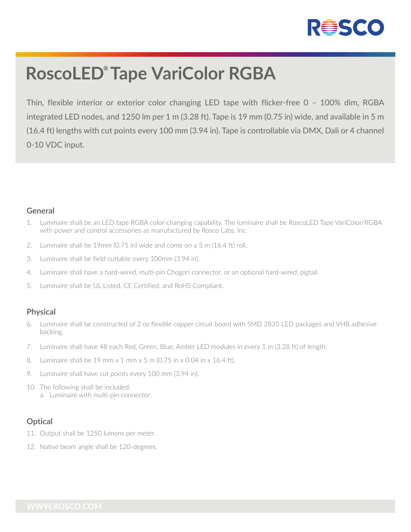

# **RoscoLED® Tape VariColor RGBA**

Thin, flexible interior or exterior color changing LED tape with flicker-free 0 – 100% dim, RGBA integrated LED nodes, and 1250 lm per 1 m (3.28 ft). Tape is 19 mm (0.75 in) wide, and available in 5 m (16.4 ft) lengths with cut points every 100 mm (3.94 in). Tape is controllable via DMX, Dali or 4 channel 0-10 VDC input.

#### **General**

- 1. Luminaire shall be an LED tape RGBA color-changing capability. The luminaire shall be RoscoLED Tape VariColor/RGBA with power and control accessories as manufactured by Rosco Labs, Inc.
- 2. Luminaire shall be 19mm (0.75 in) wide and come on a 5 m (16.4 ft) roll.
- 3. Luminaire shall be field cuttable every 100mm (3.94 in).
- 4. Luminaire shall have a hard-wired, multi-pin Chogori connector, or an optional hard-wired, pigtail.
- 5. Luminaire shall be UL Listed, CE Certified, and RoHS Compliant.

# **Physical**

- 6. Luminaire shall be constructed of 2 oz flexible copper circuit board with SMD 2835 LED packages and VHB adhesive backing.
- 7. Luminaire shall have 48 each Red, Green, Blue, Amber LED modules in every 1 m (3.28 ft) of length.
- 8. Luminaire shall be 19 mm x 1 mm x 5 m (0.75 in x 0.04 in x 16.4 ft).
- 9. Luminaire shall have cut points every 100 mm (3.94 in).
- 10. The following shall be included: a. Luminaire with multi-pin connector.

# **Optical**

- 11. Output shall be 1250 lumens per meter.
- 12. Native beam angle shall be 120-degrees.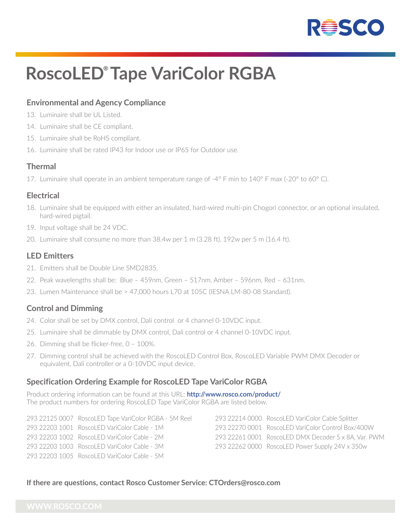

# **RoscoLED® Tape VariColor RGBA**

# **Environmental and Agency Compliance**

- 13. Luminaire shall be UL Listed.
- 14. Luminaire shall be CE compliant.
- 15. Luminaire shall be RoHS compliant.
- 16. Luminaire shall be rated IP43 for Indoor use or IP65 for Outdoor use.

#### **Thermal**

17. Luminaire shall operate in an ambient temperature range of -4° F min to 140° F max (-20° to 60° C).

#### **Electrical**

- 18. Luminaire shall be equipped with either an insulated, hard-wired multi-pin Chogori connector, or an optional insulated, hard-wired pigtail.
- 19. Input voltage shall be 24 VDC.
- 20. Luminaire shall consume no more than 38.4w per 1 m (3.28 ft), 192w per 5 m (16.4 ft).

### **LED Emitters**

- 21. Emitters shall be Double Line SMD2835.
- 22. Peak wavelengths shall be: Blue 459nm, Green 517nm, Amber 596nm, Red 631nm.
- 23. Lumen Maintenance shall be > 47,000 hours L70 at 105C (IESNA LM-80-08 Standard).

# **Control and Dimming**

- 24. Color shall be set by DMX control, Dali control or 4 channel 0-10VDC input.
- 25. Luminaire shall be dimmable by DMX control, Dali control or 4 channel 0-10VDC input.
- 26. Dimming shall be flicker-free, 0 100%.
- 27. Dimming control shall be achieved with the RoscoLED Control Box, RoscoLED Variable PWM DMX Decoder or equivalent, Dali controller or a 0-10VDC input device.

# **Specification Ordering Example for RoscoLED Tape VariColor RGBA**

Product ordering information can be found at this URL: **http://www.rosco.com/product/** The product numbers for ordering RoscoLED Tape VariColor RGBA are listed below.

293 22125 0007 RoscoLED Tape VariColor RGBA - 5M Reel 293 22203 1001 RoscoLED VariColor Cable - 1M 293 22203 1002 RoscoLED VariColor Cable - 2M 293 22203 1003 RoscoLED VariColor Cable - 3M 293 22203 1005 Roscol ED VariColor Cable - 5M

293 22214 0000 RoscoLED VariColor Cable Splitter 293 22270 0001 RoscoLED VariColor Control Box/400W 293 22261 0001 RoscoLED DMX Decoder 5 x 8A, Var. PWM 293 22262 0000 RoscoLED Power Supply 24V x 350w

#### **If there are questions, contact Rosco Customer Service: CTOrders@rosco.com**